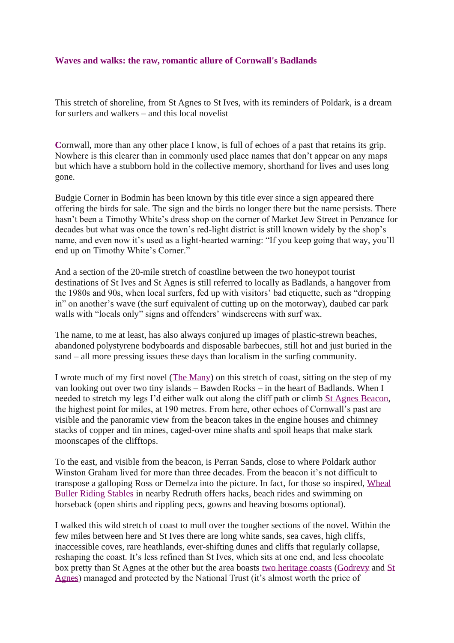## **Waves and walks: the raw, romantic allure of Cornwall's Badlands**

This stretch of shoreline, from St Agnes to St Ives, with its reminders of Poldark, is a dream for surfers and walkers – and this local novelist

Cornwall, more than any other place I know, is full of echoes of a past that retains its grip. Nowhere is this clearer than in commonly used place names that don't appear on any maps but which have a stubborn hold in the collective memory, shorthand for lives and uses long gone.

Budgie Corner in Bodmin has been known by this title ever since a sign appeared there offering the birds for sale. The sign and the birds no longer there but the name persists. There hasn't been a Timothy White's dress shop on the corner of Market Jew Street in Penzance for decades but what was once the town's red-light district is still known widely by the shop's name, and even now it's used as a light-hearted warning: "If you keep going that way, you'll end up on Timothy White's Corner."

And a section of the 20-mile stretch of coastline between the two honeypot tourist destinations of St Ives and St Agnes is still referred to locally as Badlands, a hangover from the 1980s and 90s, when local surfers, fed up with visitors' bad etiquette, such as "dropping in" on another's wave (the surf equivalent of cutting up on the motorway), daubed car park walls with "locals only" signs and offenders' windscreens with surf wax.

The name, to me at least, has also always conjured up images of plastic-strewn beaches, abandoned polystyrene bodyboards and disposable barbecues, still hot and just buried in the sand – all more pressing issues these days than localism in the surfing community.

I wrote much of my first novel [\(The Many\)](http://wylmenmuir.co.uk/home/books/themany/) on this stretch of coast, sitting on the step of my van looking out over two tiny islands – Bawden Rocks – in the heart of Badlands. When I needed to stretch my legs I'd either walk out along the cliff path or climb [St Agnes Beacon,](http://go.theguardian.com/?id=114047X1572903&url=https%3A%2F%2Fwww.nationaltrust.org.uk%2Fst-agnes-and-chapel-porth%2Ftrails%2Fwhite-rocks-to-st-agnes-beacon-loop&sref=https://www.theguardian.com/travel/2018/jul/27/cornwall-beaches-badlands-surfing-walking-poldark-st-ives) the highest point for miles, at 190 metres. From here, other echoes of Cornwall's past are visible and the panoramic view from the beacon takes in the engine houses and chimney stacks of copper and tin mines, caged-over mine shafts and spoil heaps that make stark moonscapes of the clifftops.

To the east, and visible from the beacon, is Perran Sands, close to where Poldark author Winston Graham lived for more than three decades. From the beacon it's not difficult to transpose a galloping Ross or Demelza into the picture. In fact, for those so inspired, [Wheal](https://www.cornishridingholidays.co.uk/)  [Buller Riding Stables](https://www.cornishridingholidays.co.uk/) in nearby Redruth offers hacks, beach rides and swimming on horseback (open shirts and rippling pecs, gowns and heaving bosoms optional).

I walked this wild stretch of coast to mull over the tougher sections of the novel. Within the few miles between here and St Ives there are long white sands, sea caves, high cliffs, inaccessible coves, rare heathlands, ever-shifting dunes and cliffs that regularly collapse, reshaping the coast. It's less refined than St Ives, which sits at one end, and less chocolate box pretty than St Agnes at the other but the area boasts [two heritage coasts](http://go.theguardian.com/?id=114047X1572903&url=https%3A%2F%2Fwww.nationaltrust.org.uk%2Fwheal-coates&sref=https://www.theguardian.com/travel/2018/jul/27/cornwall-beaches-badlands-surfing-walking-poldark-st-ives) [\(Godrevy](http://go.theguardian.com/?id=114047X1572903&url=https%3A%2F%2Fwww.nationaltrust.org.uk%2Fgodrevy&sref=https://www.theguardian.com/travel/2018/jul/27/cornwall-beaches-badlands-surfing-walking-poldark-st-ives) and [St](http://go.theguardian.com/?id=114047X1572903&url=https%3A%2F%2Fwww.nationaltrust.org.uk%2Fst-agnes-head&sref=https://www.theguardian.com/travel/2018/jul/27/cornwall-beaches-badlands-surfing-walking-poldark-st-ives)  [Agnes\)](http://go.theguardian.com/?id=114047X1572903&url=https%3A%2F%2Fwww.nationaltrust.org.uk%2Fst-agnes-head&sref=https://www.theguardian.com/travel/2018/jul/27/cornwall-beaches-badlands-surfing-walking-poldark-st-ives) managed and protected by the National Trust (it's almost worth the price of